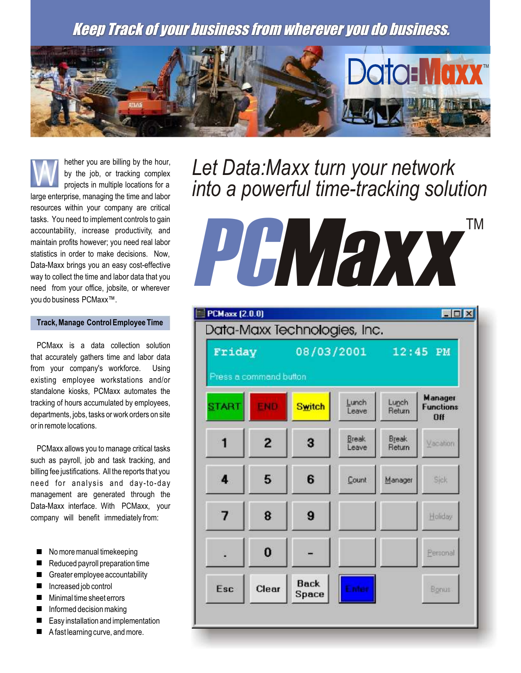Keep Track of your business from wherever you do business.



hether you are billing by the hour, by the job, or tracking complex projects in multiple locations for a large enterprise, managing the time and labor resources within your company are critical tasks. You need to implement controls to gain accountability, increase productivity, and maintain profits however; you need real labor statistics in order to make decisions. Now, Data-Maxx brings you an easy cost-effective way to collect the time and labor data that you need from your office, jobsite, or wherever you do business PCMaxx™. W

## **Track, Manage Control Employee Time**

PCMaxx is a data collection solution that accurately gathers time and labor data from your company's workforce. Using existing employee workstations and/or standalone kiosks, PCMaxx automates the tracking of hours accumulated by employees, departments, jobs, tasks or work orders on site or in remote locations.

PCMaxx allows you to manage critical tasks such as payroll, job and task tracking, and billing fee justifications. All the reports that you need for analysis and day-to-day management are generated through the Data-Maxx interface. With PCMaxx, your company will benefit immediately from:

- No more manual timekeeping
- Reduced payroll preparation time
- **E** Greater employee accountability
- Increased job control
- Minimal time sheet errors
- $\blacksquare$  Informed decision making
- Easy installation and implementation
- $\blacksquare$  A fast learning curve, and more.

## *Let Data:Maxx turn your network into a powerful time-tracking solution*